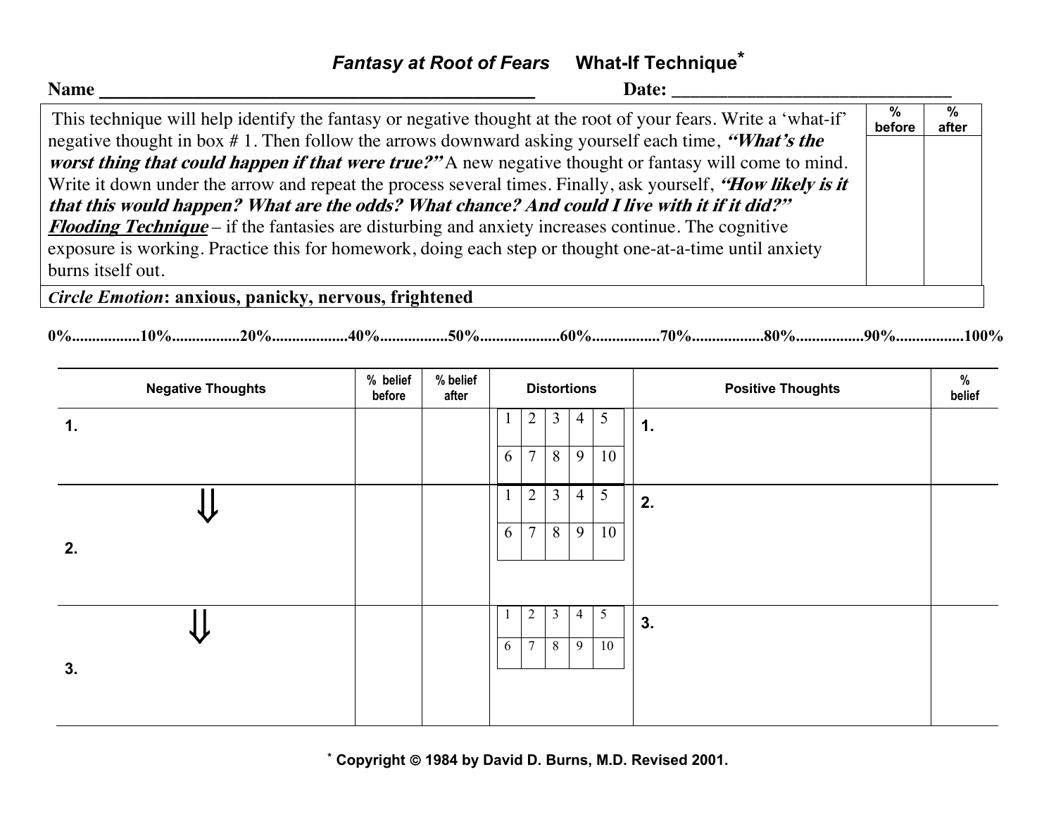## *Fantasy at Root of Fears* **What-If Technique\***

| <b>Name</b><br>Date:                                                                                           |             |            |
|----------------------------------------------------------------------------------------------------------------|-------------|------------|
| This technique will help identify the fantasy or negative thought at the root of your fears. Write a 'what-if' | %<br>before | %<br>after |
| negative thought in box #1. Then follow the arrows downward asking yourself each time, "What's the             |             |            |
| worst thing that could happen if that were true?" A new negative thought or fantasy will come to mind.         |             |            |
| Write it down under the arrow and repeat the process several times. Finally, ask yourself, "How likely is it   |             |            |
| that this would happen? What are the odds? What chance? And could I live with it if it did?"                   |             |            |
| <b>Flooding Technique</b> – if the fantasies are disturbing and anxiety increases continue. The cognitive      |             |            |
| exposure is working. Practice this for homework, doing each step or thought one-at-a-time until anxiety        |             |            |
| burns itself out.                                                                                              |             |            |
| Circle Emotion: anxious, panicky, nervous, frightened                                                          |             |            |

**0%.................10%.................20%...................40%.................50%....................60%.................70%..................80%.................90%.................100%**

| <b>Negative Thoughts</b> | % belief<br>before | % belief<br>after |   |                |   | <b>Distortions</b> |    | $\%$<br><b>Positive Thoughts</b><br>belief |
|--------------------------|--------------------|-------------------|---|----------------|---|--------------------|----|--------------------------------------------|
| 1.                       |                    |                   |   | $\overline{2}$ | 3 | $\overline{4}$     | 5  | 1.                                         |
|                          |                    |                   | 6 | $\overline{7}$ | 8 | 9                  | 10 |                                            |
|                          |                    |                   |   | $\overline{2}$ | 3 | $\overline{4}$     | 5  | 2.                                         |
| 2.                       |                    |                   | 6 | $\tau$         | 8 | 9                  | 10 |                                            |
|                          |                    |                   |   | $\overline{2}$ | 3 | 4                  | 5  | 3.                                         |
| 3.                       |                    |                   | 6 | $\overline{7}$ | 8 | 9                  | 10 |                                            |

**\* Copyright** ã **1984 by David D. Burns, M.D. Revised 2001.**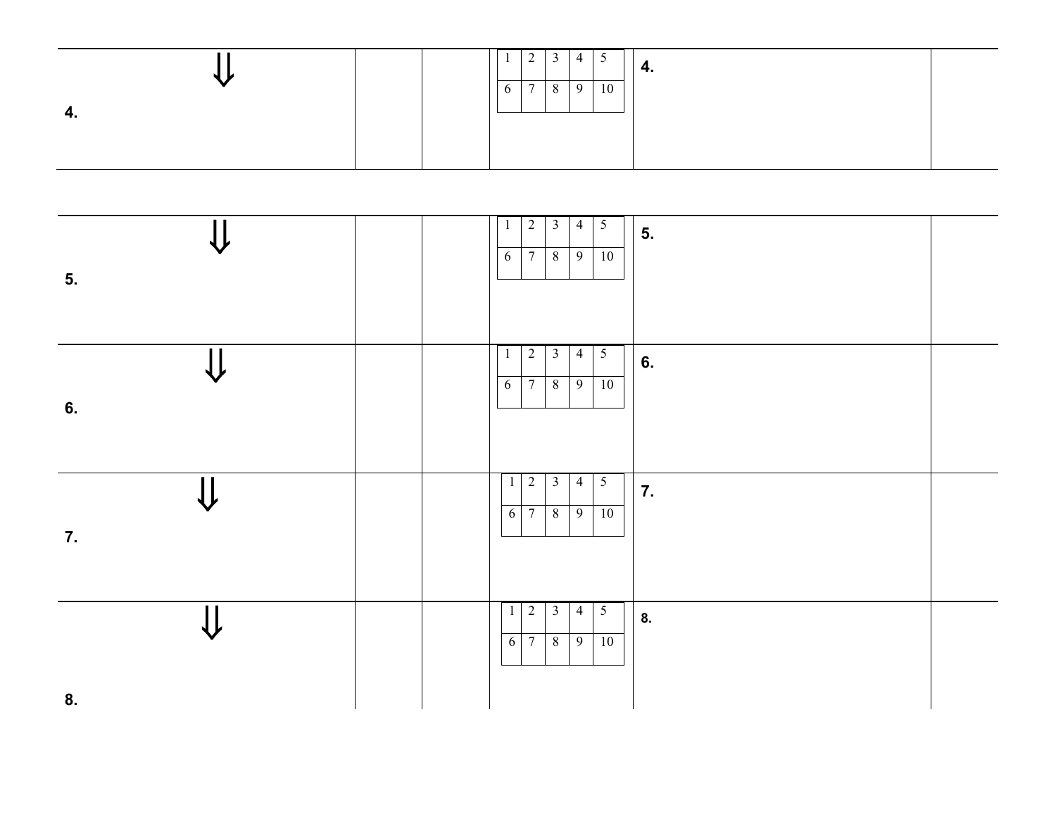|                  |  | $\mathbf{I}$ | $\sim$ | ້            | -4 | ◡  | 4. |
|------------------|--|--------------|--------|--------------|----|----|----|
| $\sqrt{ }$<br>т. |  | $\sigma$     |        | ◡<br>$\circ$ | Q  | 10 |    |